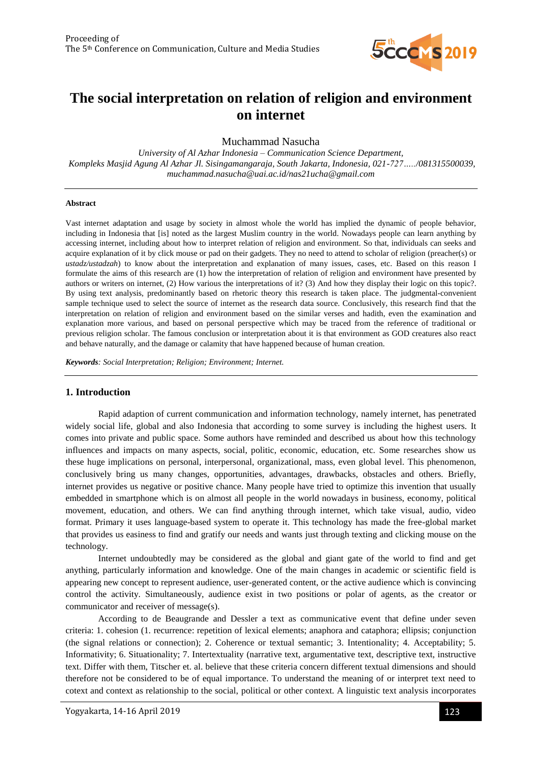

# **The social interpretation on relation of religion and environment on internet**

Muchammad Nasucha

*University of Al Azhar Indonesia – Communication Science Department, Kompleks Masjid Agung Al Azhar Jl. Sisingamangaraja, South Jakarta, Indonesia, 021-727…../081315500039, muchammad.nasucha@uai.ac.id/nas21ucha@gmail.com*

#### **Abstract**

Vast internet adaptation and usage by society in almost whole the world has implied the dynamic of people behavior, including in Indonesia that [is] noted as the largest Muslim country in the world. Nowadays people can learn anything by accessing internet, including about how to interpret relation of religion and environment. So that, individuals can seeks and acquire explanation of it by click mouse or pad on their gadgets. They no need to attend to scholar of religion (preacher(s) or *ustadz/ustadzah*) to know about the interpretation and explanation of many issues, cases, etc. Based on this reason I formulate the aims of this research are (1) how the interpretation of relation of religion and environment have presented by authors or writers on internet, (2) How various the interpretations of it? (3) And how they display their logic on this topic?. By using text analysis, predominantly based on rhetoric theory this research is taken place. The judgmental-convenient sample technique used to select the source of internet as the research data source. Conclusively, this research find that the interpretation on relation of religion and environment based on the similar verses and hadith, even the examination and explanation more various, and based on personal perspective which may be traced from the reference of traditional or previous religion scholar. The famous conclusion or interpretation about it is that environment as GOD creatures also react and behave naturally, and the damage or calamity that have happened because of human creation.

*Keywords: Social Interpretation; Religion; Environment; Internet.*

# **1. Introduction**

Rapid adaption of current communication and information technology, namely internet, has penetrated widely social life, global and also Indonesia that according to some survey is including the highest users. It comes into private and public space. Some authors have reminded and described us about how this technology influences and impacts on many aspects, social, politic, economic, education, etc. Some researches show us these huge implications on personal, interpersonal, organizational, mass, even global level. This phenomenon, conclusively bring us many changes, opportunities, advantages, drawbacks, obstacles and others. Briefly, internet provides us negative or positive chance. Many people have tried to optimize this invention that usually embedded in smartphone which is on almost all people in the world nowadays in business, economy, political movement, education, and others. We can find anything through internet, which take visual, audio, video format. Primary it uses language-based system to operate it. This technology has made the free-global market that provides us easiness to find and gratify our needs and wants just through texting and clicking mouse on the technology.

Internet undoubtedly may be considered as the global and giant gate of the world to find and get anything, particularly information and knowledge. One of the main changes in academic or scientific field is appearing new concept to represent audience, user-generated content, or the active audience which is convincing control the activity. Simultaneously, audience exist in two positions or polar of agents, as the creator or communicator and receiver of message(s).

According to de Beaugrande and Dessler a text as communicative event that define under seven criteria: 1. cohesion (1. recurrence: repetition of lexical elements; anaphora and cataphora; ellipsis; conjunction (the signal relations or connection); 2. Coherence or textual semantic; 3. Intentionality; 4. Acceptability; 5. Informativity; 6. Situationality; 7. Intertextuality (narrative text, argumentative text, descriptive text, instructive text. Differ with them, Titscher et. al. believe that these criteria concern different textual dimensions and should therefore not be considered to be of equal importance. To understand the meaning of or interpret text need to cotext and context as relationship to the social, political or other context. A linguistic text analysis incorporates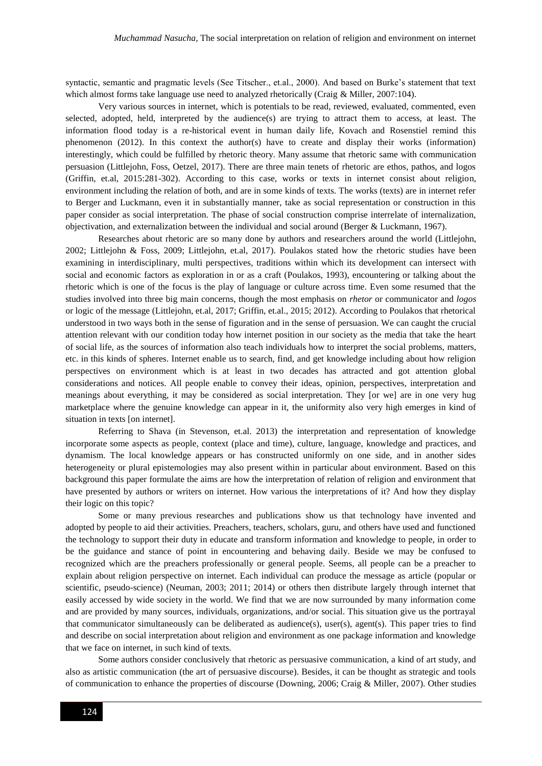syntactic, semantic and pragmatic levels (See Titscher., et.al., 2000). And based on Burke's statement that text which almost forms take language use need to analyzed rhetorically (Craig & Miller, 2007:104).

Very various sources in internet, which is potentials to be read, reviewed, evaluated, commented, even selected, adopted, held, interpreted by the audience(s) are trying to attract them to access, at least. The information flood today is a re-historical event in human daily life, Kovach and Rosenstiel remind this phenomenon (2012). In this context the author(s) have to create and display their works (information) interestingly, which could be fulfilled by rhetoric theory. Many assume that rhetoric same with communication persuasion (Littlejohn, Foss, Oetzel, 2017). There are three main tenets of rhetoric are ethos, pathos, and logos (Griffin, et.al, 2015:281-302). According to this case, works or texts in internet consist about religion, environment including the relation of both, and are in some kinds of texts. The works (texts) are in internet refer to Berger and Luckmann, even it in substantially manner, take as social representation or construction in this paper consider as social interpretation. The phase of social construction comprise interrelate of internalization, objectivation, and externalization between the individual and social around (Berger & Luckmann, 1967).

Researches about rhetoric are so many done by authors and researchers around the world (Littlejohn, 2002; Littlejohn & Foss, 2009; Littlejohn, et.al, 2017). Poulakos stated how the rhetoric studies have been examining in interdisciplinary, multi perspectives, traditions within which its development can intersect with social and economic factors as exploration in or as a craft (Poulakos, 1993), encountering or talking about the rhetoric which is one of the focus is the play of language or culture across time. Even some resumed that the studies involved into three big main concerns, though the most emphasis on *rhetor* or communicator and *logos* or logic of the message (Littlejohn, et.al, 2017; Griffin, et.al., 2015; 2012). According to Poulakos that rhetorical understood in two ways both in the sense of figuration and in the sense of persuasion. We can caught the crucial attention relevant with our condition today how internet position in our society as the media that take the heart of social life, as the sources of information also teach individuals how to interpret the social problems, matters, etc. in this kinds of spheres. Internet enable us to search, find, and get knowledge including about how religion perspectives on environment which is at least in two decades has attracted and got attention global considerations and notices. All people enable to convey their ideas, opinion, perspectives, interpretation and meanings about everything, it may be considered as social interpretation. They [or we] are in one very hug marketplace where the genuine knowledge can appear in it, the uniformity also very high emerges in kind of situation in texts [on internet].

Referring to Shava (in Stevenson, et.al. 2013) the interpretation and representation of knowledge incorporate some aspects as people, context (place and time), culture, language, knowledge and practices, and dynamism. The local knowledge appears or has constructed uniformly on one side, and in another sides heterogeneity or plural epistemologies may also present within in particular about environment. Based on this background this paper formulate the aims are how the interpretation of relation of religion and environment that have presented by authors or writers on internet. How various the interpretations of it? And how they display their logic on this topic?

Some or many previous researches and publications show us that technology have invented and adopted by people to aid their activities. Preachers, teachers, scholars, guru, and others have used and functioned the technology to support their duty in educate and transform information and knowledge to people, in order to be the guidance and stance of point in encountering and behaving daily. Beside we may be confused to recognized which are the preachers professionally or general people. Seems, all people can be a preacher to explain about religion perspective on internet. Each individual can produce the message as article (popular or scientific, pseudo-science) (Neuman, 2003; 2011; 2014) or others then distribute largely through internet that easily accessed by wide society in the world. We find that we are now surrounded by many information come and are provided by many sources, individuals, organizations, and/or social. This situation give us the portrayal that communicator simultaneously can be deliberated as audience(s), user(s), agent(s). This paper tries to find and describe on social interpretation about religion and environment as one package information and knowledge that we face on internet, in such kind of texts.

Some authors consider conclusively that rhetoric as persuasive communication, a kind of art study, and also as artistic communication (the art of persuasive discourse). Besides, it can be thought as strategic and tools of communication to enhance the properties of discourse (Downing, 2006; Craig & Miller, 2007). Other studies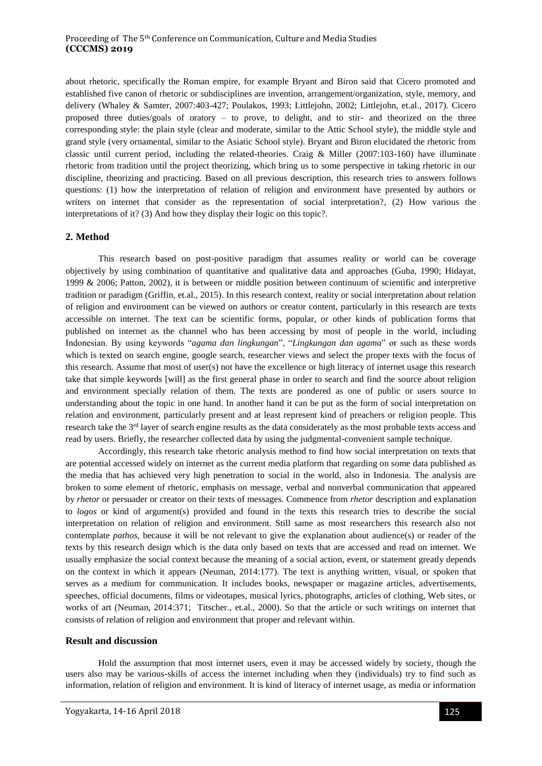about rhetoric, specifically the Roman empire, for example Bryant and Biron said that Cicero promoted and established five canon of rhetoric or subdisciplines are invention, arrangement/organization, style, memory, and delivery (Whaley & Samter, 2007:403-427; Poulakos, 1993; Littlejohn, 2002; Littlejohn, et.al., 2017). Cicero proposed three duties/goals of oratory – to prove, to delight, and to stir- and theorized on the three corresponding style: the plain style (clear and moderate, similar to the Attic School style), the middle style and grand style (very ornamental, similar to the Asiatic School style). Bryant and Biron elucidated the rhetoric from classic until current period, including the related-theories. Craig & Miller (2007:103-160) have illuminate rhetoric from tradition until the project theorizing, which bring us to some perspective in taking rhetoric in our discipline, theorizing and practicing. Based on all previous description, this research tries to answers follows questions: (1) how the interpretation of relation of religion and environment have presented by authors or writers on internet that consider as the representation of social interpretation?, (2) How various the interpretations of it? (3) And how they display their logic on this topic?.

#### **2. Method**

This research based on post-positive paradigm that assumes reality or world can be coverage objectively by using combination of quantitative and qualitative data and approaches (Guba, 1990; Hidayat, 1999 & 2006; Patton, 2002), it is between or middle position between continuum of scientific and interpretive tradition or paradigm (Griffin, et.al., 2015). In this research context, reality or social interpretation about relation of religion and environment can be viewed on authors or creator content, particularly in this research are texts accessible on internet. The text can be scientific forms, popular, or other kinds of publication forms that published on internet as the channel who has been accessing by most of people in the world, including Indonesian. By using keywords "*agama dan lingkungan*", "*Lingkungan dan agama*" or such as these words which is texted on search engine, google search, researcher views and select the proper texts with the focus of this research. Assume that most of user(s) not have the excellence or high literacy of internet usage this research take that simple keywords [will] as the first general phase in order to search and find the source about religion and environment specially relation of them. The texts are pondered as one of public or users source to understanding about the topic in one hand. In another hand it can be put as the form of social interpretation on relation and environment, particularly present and at least represent kind of preachers or religion people. This research take the  $3<sup>rd</sup>$  layer of search engine results as the data considerately as the most probable texts access and read by users. Briefly, the researcher collected data by using the judgmental-convenient sample technique.

Accordingly, this research take rhetoric analysis method to find how social interpretation on texts that are potential accessed widely on internet as the current media platform that regarding on some data published as the media that has achieved very high penetration to social in the world, also in Indonesia. The analysis are broken to some element of rhetoric, emphasis on message, verbal and nonverbal communication that appeared by *rhetor* or persuader or creator on their texts of messages. Commence from *rhetor* description and explanation to *logos* or kind of argument(s) provided and found in the texts this research tries to describe the social interpretation on relation of religion and environment. Still same as most researchers this research also not contemplate *pathos*, because it will be not relevant to give the explanation about audience(s) or reader of the texts by this research design which is the data only based on texts that are accessed and read on internet. We usually emphasize the social context because the meaning of a social action, event, or statement greatly depends on the context in which it appears (Neuman, 2014:177). The text is anything written, visual, or spoken that serves as a medium for communication. It includes books, newspaper or magazine articles, advertisements, speeches, official documents, films or videotapes, musical lyrics, photographs, articles of clothing, Web sites, or works of art (Neuman, 2014:371; Titscher., et.al., 2000). So that the article or such writings on internet that consists of relation of religion and environment that proper and relevant within.

### **Result and discussion**

Hold the assumption that most internet users, even it may be accessed widely by society, though the users also may be various-skills of access the internet including when they (individuals) try to find such as information, relation of religion and environment. It is kind of literacy of internet usage, as media or information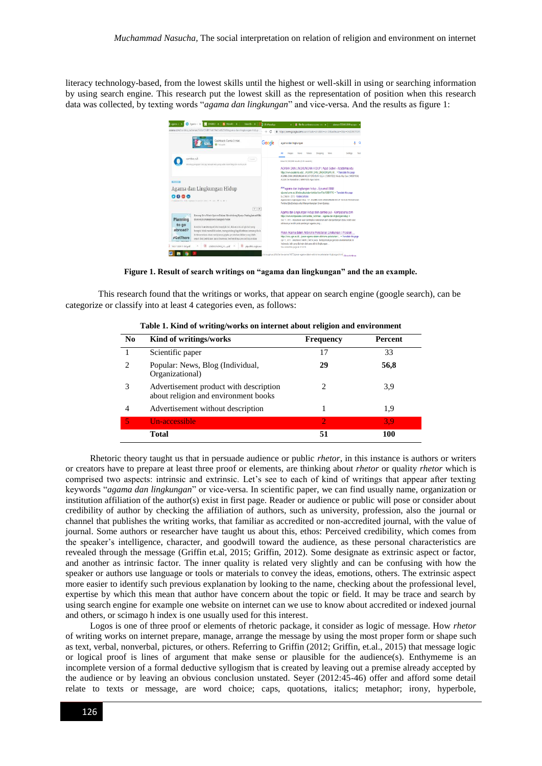literacy technology-based, from the lowest skills until the highest or well-skill in using or searching information by using search engine. This research put the lowest skill as the representation of position when this research data was collected, by texting words "*agama dan lingkungan*" and vice-versa. And the results as figure 1:



**Figure 1. Result of search writings on "agama dan lingkungan" and the an example.**

This research found that the writings or works, that appear on search engine (google search), can be categorize or classify into at least 4 categories even, as follows:

| No. | Kind of writings/works                                                         | <b>Frequency</b> | Percent |
|-----|--------------------------------------------------------------------------------|------------------|---------|
|     | Scientific paper                                                               | 17               | 33      |
| 2   | Popular: News, Blog (Individual,<br>Organizational)                            | 29               | 56,8    |
| 3   | Advertisement product with description<br>about religion and environment books | 2                | 3,9     |
| 4   | Advertisement without description                                              |                  | 1,9     |
| 5   | Un-accessible                                                                  | 2                | 3.9     |
|     | Total                                                                          | 51               | 100     |

**Table 1. Kind of writing/works on internet about religion and environment**

Rhetoric theory taught us that in persuade audience or public *rhetor*, in this instance is authors or writers or creators have to prepare at least three proof or elements, are thinking about *rhetor* or quality *rhetor* which is comprised two aspects: intrinsic and extrinsic. Let's see to each of kind of writings that appear after texting keywords "*agama dan lingkungan*" or vice-versa. In scientific paper, we can find usually name, organization or institution affiliation of the author(s) exist in first page. Reader or audience or public will pose or consider about credibility of author by checking the affiliation of authors, such as university, profession, also the journal or channel that publishes the writing works, that familiar as accredited or non-accredited journal, with the value of journal. Some authors or researcher have taught us about this, ethos: Perceived credibility, which comes from the speaker's intelligence, character, and goodwill toward the audience, as these personal characteristics are revealed through the message (Griffin et.al, 2015; Griffin, 2012). Some designate as extrinsic aspect or factor, and another as intrinsic factor. The inner quality is related very slightly and can be confusing with how the speaker or authors use language or tools or materials to convey the ideas, emotions, others. The extrinsic aspect more easier to identify such previous explanation by looking to the name, checking about the professional level, expertise by which this mean that author have concern about the topic or field. It may be trace and search by using search engine for example one website on internet can we use to know about accredited or indexed journal and others, or scimago h index is one usually used for this interest.

Logos is one of three proof or elements of rhetoric package, it consider as logic of message. How *rhetor* of writing works on internet prepare, manage, arrange the message by using the most proper form or shape such as text, verbal, nonverbal, pictures, or others. Referring to Griffin (2012; Griffin, et.al., 2015) that message logic or logical proof is lines of argument that make sense or plausible for the audience(s). Enthymeme is an incomplete version of a formal deductive syllogism that is created by leaving out a premise already accepted by the audience or by leaving an obvious conclusion unstated. Seyer (2012:45-46) offer and afford some detail relate to texts or message, are word choice; caps, quotations, italics; metaphor; irony, hyperbole,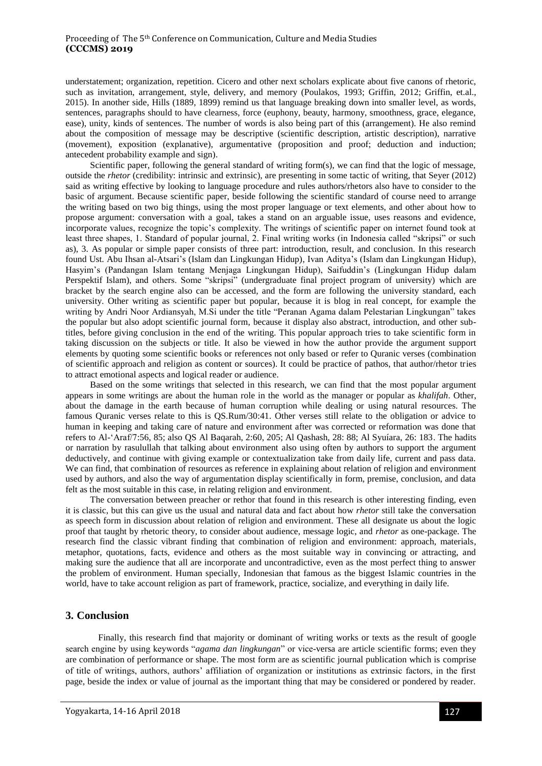understatement; organization, repetition. Cicero and other next scholars explicate about five canons of rhetoric, such as invitation, arrangement, style, delivery, and memory (Poulakos, 1993; Griffin, 2012; Griffin, et.al., 2015). In another side, Hills (1889, 1899) remind us that language breaking down into smaller level, as words, sentences, paragraphs should to have clearness, force (euphony, beauty, harmony, smoothness, grace, elegance, ease), unity, kinds of sentences. The number of words is also being part of this (arrangement). He also remind about the composition of message may be descriptive (scientific description, artistic description), narrative (movement), exposition (explanative), argumentative (proposition and proof; deduction and induction; antecedent probability example and sign).

Scientific paper, following the general standard of writing form(s), we can find that the logic of message, outside the *rhetor* (credibility: intrinsic and extrinsic), are presenting in some tactic of writing, that Seyer (2012) said as writing effective by looking to language procedure and rules authors/rhetors also have to consider to the basic of argument. Because scientific paper, beside following the scientific standard of course need to arrange the writing based on two big things, using the most proper language or text elements, and other about how to propose argument: conversation with a goal, takes a stand on an arguable issue, uses reasons and evidence, incorporate values, recognize the topic's complexity. The writings of scientific paper on internet found took at least three shapes, 1. Standard of popular journal, 2. Final writing works (in Indonesia called "skripsi" or such as), 3. As popular or simple paper consists of three part: introduction, result, and conclusion. In this research found Ust. Abu Ihsan al-Atsari's (Islam dan Lingkungan Hidup), Ivan Aditya's (Islam dan Lingkungan Hidup), Hasyim's (Pandangan Islam tentang Menjaga Lingkungan Hidup), Saifuddin's (Lingkungan Hidup dalam Perspektif Islam), and others. Some "skripsi" (undergraduate final project program of university) which are bracket by the search engine also can be accessed, and the form are following the university standard, each university. Other writing as scientific paper but popular, because it is blog in real concept, for example the writing by Andri Noor Ardiansyah, M.Si under the title "Peranan Agama dalam Pelestarian Lingkungan" takes the popular but also adopt scientific journal form, because it display also abstract, introduction, and other subtitles, before giving conclusion in the end of the writing. This popular approach tries to take scientific form in taking discussion on the subjects or title. It also be viewed in how the author provide the argument support elements by quoting some scientific books or references not only based or refer to Quranic verses (combination of scientific approach and religion as content or sources). It could be practice of pathos, that author/rhetor tries to attract emotional aspects and logical reader or audience.

Based on the some writings that selected in this research, we can find that the most popular argument appears in some writings are about the human role in the world as the manager or popular as *khalifah*. Other, about the damage in the earth because of human corruption while dealing or using natural resources. The famous Quranic verses relate to this is QS.Rum/30:41. Other verses still relate to the obligation or advice to human in keeping and taking care of nature and environment after was corrected or reformation was done that refers to Al-'Araf/7:56, 85; also QS Al Baqarah, 2:60, 205; Al Qashash, 28: 88; Al Syuíara, 26: 183. The hadits or narration by rasulullah that talking about environment also using often by authors to support the argument deductively, and continue with giving example or contextualization take from daily life, current and pass data. We can find, that combination of resources as reference in explaining about relation of religion and environment used by authors, and also the way of argumentation display scientifically in form, premise, conclusion, and data felt as the most suitable in this case, in relating religion and environment.

The conversation between preacher or rethor that found in this research is other interesting finding, even it is classic, but this can give us the usual and natural data and fact about how *rhetor* still take the conversation as speech form in discussion about relation of religion and environment. These all designate us about the logic proof that taught by rhetoric theory, to consider about audience, message logic, and *rhetor* as one-package. The research find the classic vibrant finding that combination of religion and environment: approach, materials, metaphor, quotations, facts, evidence and others as the most suitable way in convincing or attracting, and making sure the audience that all are incorporate and uncontradictive, even as the most perfect thing to answer the problem of environment. Human specially, Indonesian that famous as the biggest Islamic countries in the world, have to take account religion as part of framework, practice, socialize, and everything in daily life.

# **3. Conclusion**

Finally, this research find that majority or dominant of writing works or texts as the result of google search engine by using keywords "*agama dan lingkungan*" or vice-versa are article scientific forms; even they are combination of performance or shape. The most form are as scientific journal publication which is comprise of title of writings, authors, authors' affiliation of organization or institutions as extrinsic factors, in the first page, beside the index or value of journal as the important thing that may be considered or pondered by reader.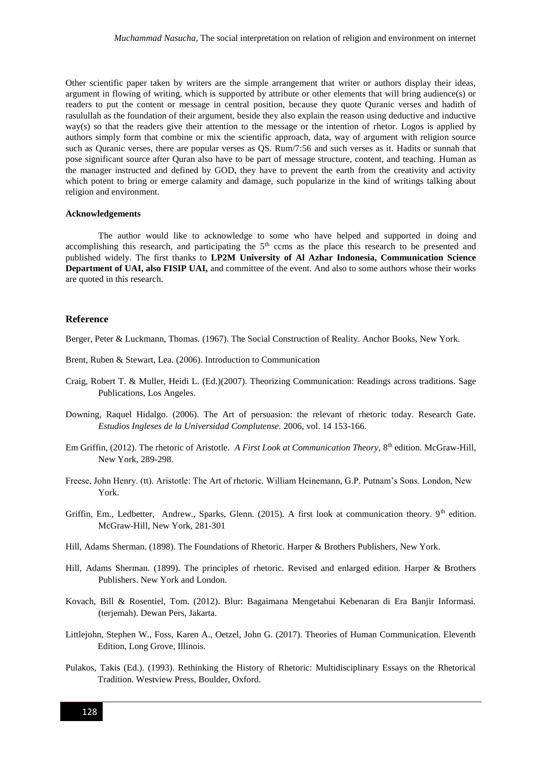Other scientific paper taken by writers are the simple arrangement that writer or authors display their ideas, argument in flowing of writing, which is supported by attribute or other elements that will bring audience(s) or readers to put the content or message in central position, because they quote Quranic verses and hadith of rasulullah as the foundation of their argument, beside they also explain the reason using deductive and inductive way(s) so that the readers give their attention to the message or the intention of rhetor. Logos is applied by authors simply form that combine or mix the scientific approach, data, way of argument with religion source such as Quranic verses, there are popular verses as QS. Rum/7:56 and such verses as it. Hadits or sunnah that pose significant source after Quran also have to be part of message structure, content, and teaching. Human as the manager instructed and defined by GOD, they have to prevent the earth from the creativity and activity which potent to bring or emerge calamity and damage, such popularize in the kind of writings talking about religion and environment.

#### **Acknowledgements**

The author would like to acknowledge to some who have helped and supported in doing and accomplishing this research, and participating the  $5<sup>th</sup>$  ccms as the place this research to be presented and published widely. The first thanks to **LP2M University of Al Azhar Indonesia, Communication Science Department of UAI, also FISIP UAI,** and committee of the event. And also to some authors whose their works are quoted in this research.

#### **Reference**

Berger, Peter & Luckmann, Thomas. (1967). The Social Construction of Reality. Anchor Books, New York.

- Brent, Ruben & Stewart, Lea. (2006). Introduction to Communication
- Craig, Robert T. & Muller, Heidi L. (Ed.)(2007). Theorizing Communication: Readings across traditions. Sage Publications, Los Angeles.
- Downing, Raquel Hidalgo. (2006). The Art of persuasion: the relevant of rhetoric today. Research Gate. *Estudios Ingleses de la Universidad Complutense.* 2006, vol. 14 153-166.
- Em Griffin, (2012). The rhetoric of Aristotle. *A First Look at Communication Theory*, 8th edition. McGraw-Hill, New York, 289-298.
- Freese, John Henry. (tt). Aristotle: The Art of rhetoric. William Heinemann, G.P. Putnam's Sons. London, New York.
- Griffin, Em., Ledbetter, Andrew., Sparks, Glenn. (2015). A first look at communication theory. 9<sup>th</sup> edition. McGraw-Hill, New York, 281-301
- Hill, Adams Sherman. (1898). The Foundations of Rhetoric. Harper & Brothers Publishers, New York.
- Hill, Adams Sherman. (1899). The principles of rhetoric. Revised and enlarged edition. Harper & Brothers Publishers. New York and London.
- Kovach, Bill & Rosentiel, Tom. (2012). Blur: Bagaimana Mengetahui Kebenaran di Era Banjir Informasi. (terjemah). Dewan Pers, Jakarta.
- Littlejohn, Stephen W., Foss, Karen A., Oetzel, John G. (2017). Theories of Human Communication. Eleventh Edition, Long Grove, Illinois.
- Pulakos, Takis (Ed.). (1993). Rethinking the History of Rhetoric: Multidisciplinary Essays on the Rhetorical Tradition. Westview Press, Boulder, Oxford.